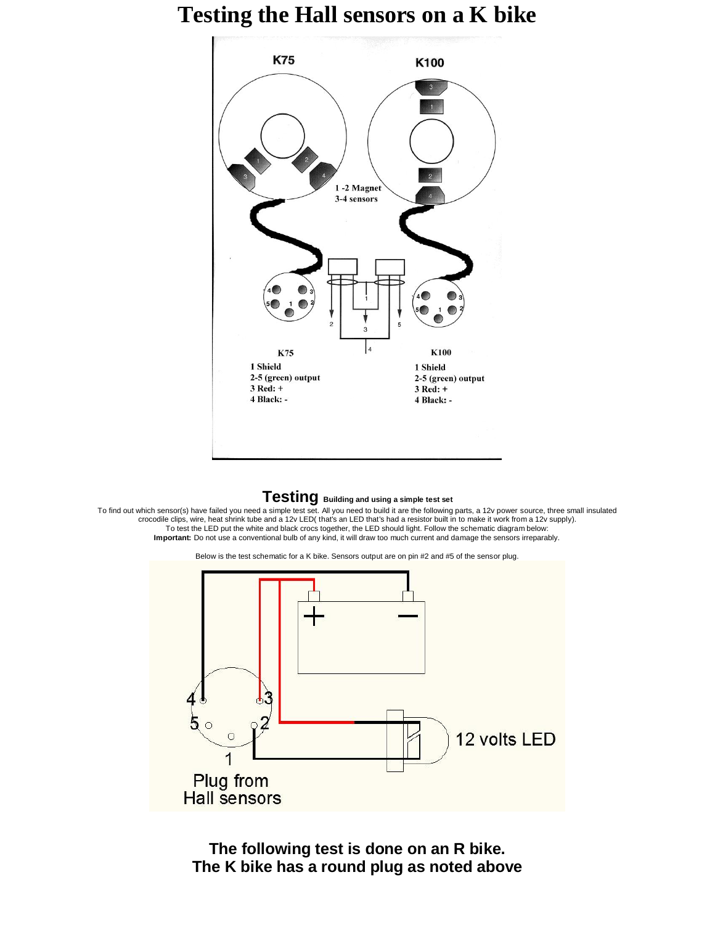## **Testing the Hall sensors on a K bike**



## **Testing Building and using a simple test set**

To find out which sensor(s) have failed you need a simple test set. All you need to build it are the following parts, a 12v power source, three small insulated<br>crocodile clips, wire, heat shrink tube and a 12v LED( that's To test the LED put the white and black crocs together, the LED should light. Follow the schematic diagram below:<br>Important: Do not use a conventional bulb of any kind, it will draw too much current and damage the sensors

Below is the test schematic for a K bike. Sensors output are on pin #2 and #5 of the sensor plug.



**The following test is done on an R bike. The K bike has a round plug as noted above**